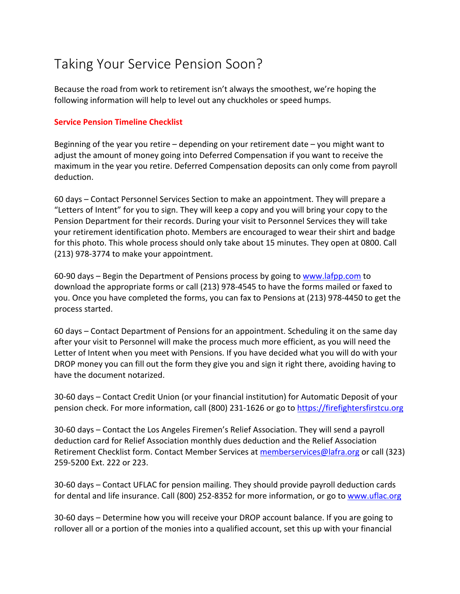## Taking Your Service Pension Soon?

Because the road from work to retirement isn't always the smoothest, we're hoping the following information will help to level out any chuckholes or speed humps.

## **Service Pension Timeline Checklist**

Beginning of the year you retire – depending on your retirement date – you might want to adjust the amount of money going into Deferred Compensation if you want to receive the maximum in the year you retire. Deferred Compensation deposits can only come from payroll deduction.

60 days – Contact Personnel Services Section to make an appointment. They will prepare a "Letters of Intent" for you to sign. They will keep a copy and you will bring your copy to the Pension Department for their records. During your visit to Personnel Services they will take your retirement identification photo. Members are encouraged to wear their shirt and badge for this photo. This whole process should only take about 15 minutes. They open at 0800. Call (213) 978-3774 to make your appointment.

60-90 days – Begin the Department of Pensions process by going to www.lafpp.com to download the appropriate forms or call (213) 978-4545 to have the forms mailed or faxed to you. Once you have completed the forms, you can fax to Pensions at (213) 978-4450 to get the process started.

60 days – Contact Department of Pensions for an appointment. Scheduling it on the same day after your visit to Personnel will make the process much more efficient, as you will need the Letter of Intent when you meet with Pensions. If you have decided what you will do with your DROP money you can fill out the form they give you and sign it right there, avoiding having to have the document notarized.

30-60 days – Contact Credit Union (or your financial institution) for Automatic Deposit of your pension check. For more information, call (800) 231-1626 or go to https://firefightersfirstcu.org

30-60 days – Contact the Los Angeles Firemen's Relief Association. They will send a payroll deduction card for Relief Association monthly dues deduction and the Relief Association Retirement Checklist form. Contact Member Services at memberservices@lafra.org or call (323) 259-5200 Ext. 222 or 223.

30-60 days – Contact UFLAC for pension mailing. They should provide payroll deduction cards for dental and life insurance. Call (800) 252-8352 for more information, or go to www.uflac.org

30-60 days – Determine how you will receive your DROP account balance. If you are going to rollover all or a portion of the monies into a qualified account, set this up with your financial